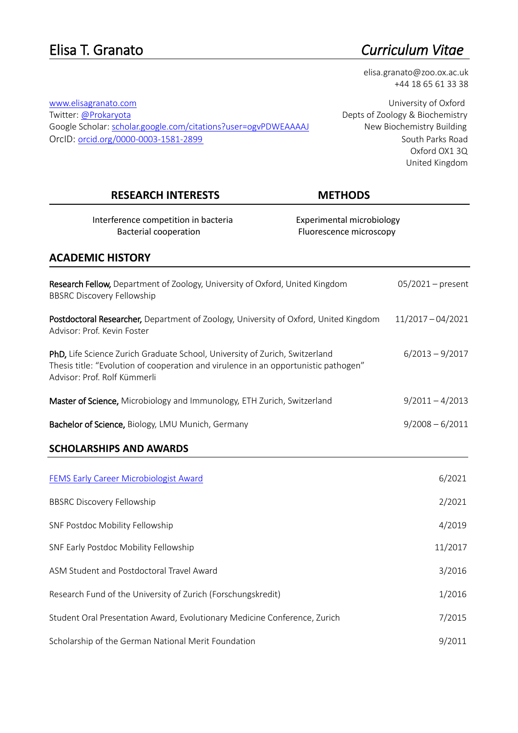# Elisa T. Granato *Curriculum Vitae*

elisa.granato@zoo.ox.ac.uk +44 18 65 61 33 38

[www.elisagranato.com](http://www.elisagranato.com/) **WARCH COMENT CONFORT CONFORMATION** University of Oxford Oxford OX1 3Q United Kingdom

### RESEARCH INTERESTS METHODS

Interference competition in bacteria **Experimental microbiology** Bacterial cooperation example and the Fluorescence microscopy

| <b>ACADEMIC HISTORY</b>                                                                                                                                                                            |                     |
|----------------------------------------------------------------------------------------------------------------------------------------------------------------------------------------------------|---------------------|
|                                                                                                                                                                                                    |                     |
| Research Fellow, Department of Zoology, University of Oxford, United Kingdom<br><b>BBSRC Discovery Fellowship</b>                                                                                  | $05/2021$ – present |
| Postdoctoral Researcher, Department of Zoology, University of Oxford, United Kingdom<br>Advisor: Prof. Kevin Foster                                                                                | $11/2017 - 04/2021$ |
| PhD, Life Science Zurich Graduate School, University of Zurich, Switzerland<br>Thesis title: "Evolution of cooperation and virulence in an opportunistic pathogen"<br>Advisor: Prof. Rolf Kümmerli | $6/2013 - 9/2017$   |
| Master of Science, Microbiology and Immunology, ETH Zurich, Switzerland                                                                                                                            | $9/2011 - 4/2013$   |
| Bachelor of Science, Biology, LMU Munich, Germany                                                                                                                                                  | $9/2008 - 6/2011$   |
| <b>SCHOLARSHIPS AND AWARDS</b>                                                                                                                                                                     |                     |
|                                                                                                                                                                                                    |                     |
| FEMS Early Career Microbiologist Award                                                                                                                                                             | 6/2021              |
| <b>BBSRC Discovery Fellowship</b>                                                                                                                                                                  | 2/2021              |
| SNF Postdoc Mobility Fellowship                                                                                                                                                                    | 4/2019              |
| SNF Early Postdoc Mobility Fellowship                                                                                                                                                              | 11/2017             |
| ASM Student and Postdoctoral Travel Award                                                                                                                                                          | 3/2016              |
| Research Fund of the University of Zurich (Forschungskredit)                                                                                                                                       | 1/2016              |
| Student Oral Presentation Award, Evolutionary Medicine Conference, Zurich                                                                                                                          | 7/2015              |
| Scholarship of the German National Merit Foundation                                                                                                                                                | 9/2011              |

Twitter: [@Prokaryota](http://www.twitter.com/Prokaryota) Depts of Zoology & Biochemistry Google Scholar: [scholar.google.com/citations?user=ogvPDWEAAAAJ](https://scholar.google.com/citations?user=ogvPDWEAAAAJ) New Biochemistry Building OrcID: [orcid.org/0000-0003-1581-2899](http://www.orcid.org/0000-0003-1581-2899) South Parks Road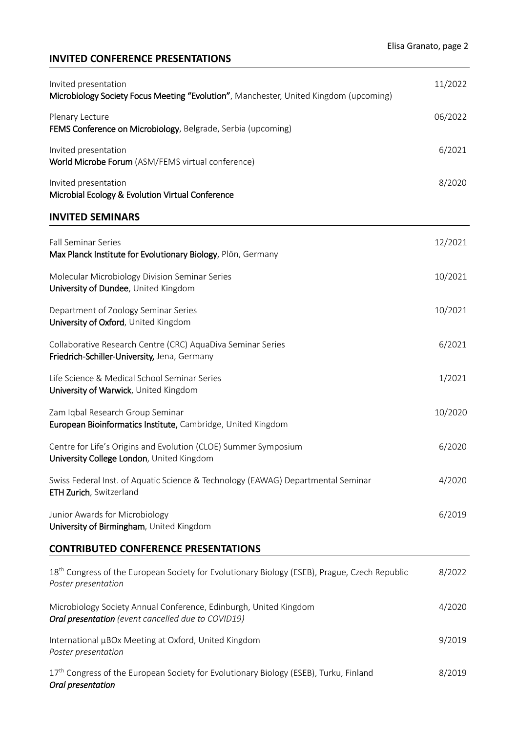# **INVITED CONFERENCE PRESENTATIONS**

| Invited presentation<br>Microbiology Society Focus Meeting "Evolution", Manchester, United Kingdom (upcoming)                    | 11/2022 |
|----------------------------------------------------------------------------------------------------------------------------------|---------|
| Plenary Lecture<br>FEMS Conference on Microbiology, Belgrade, Serbia (upcoming)                                                  | 06/2022 |
| Invited presentation<br>World Microbe Forum (ASM/FEMS virtual conference)                                                        | 6/2021  |
| Invited presentation<br>Microbial Ecology & Evolution Virtual Conference                                                         | 8/2020  |
| <b>INVITED SEMINARS</b>                                                                                                          |         |
| <b>Fall Seminar Series</b><br>Max Planck Institute for Evolutionary Biology, Plön, Germany                                       | 12/2021 |
| Molecular Microbiology Division Seminar Series<br>University of Dundee, United Kingdom                                           | 10/2021 |
| Department of Zoology Seminar Series<br>University of Oxford, United Kingdom                                                     | 10/2021 |
| Collaborative Research Centre (CRC) AquaDiva Seminar Series<br>Friedrich-Schiller-University, Jena, Germany                      | 6/2021  |
| Life Science & Medical School Seminar Series<br>University of Warwick, United Kingdom                                            | 1/2021  |
| Zam Iqbal Research Group Seminar<br>European Bioinformatics Institute, Cambridge, United Kingdom                                 | 10/2020 |
| Centre for Life's Origins and Evolution (CLOE) Summer Symposium<br>University College London, United Kingdom                     | 6/2020  |
| Swiss Federal Inst. of Aquatic Science & Technology (EAWAG) Departmental Seminar<br>ETH Zurich, Switzerland                      | 4/2020  |
| Junior Awards for Microbiology<br>University of Birmingham, United Kingdom                                                       | 6/2019  |
| <b>CONTRIBUTED CONFERENCE PRESENTATIONS</b>                                                                                      |         |
| 18 <sup>th</sup> Congress of the European Society for Evolutionary Biology (ESEB), Prague, Czech Republic<br>Poster presentation | 8/2022  |
| Microbiology Society Annual Conference, Edinburgh, United Kingdom<br>Oral presentation (event cancelled due to COVID19)          | 4/2020  |
| International µBOx Meeting at Oxford, United Kingdom<br>Poster presentation                                                      | 9/2019  |
| 17 <sup>th</sup> Congress of the European Society for Evolutionary Biology (ESEB), Turku, Finland<br>Oral presentation           | 8/2019  |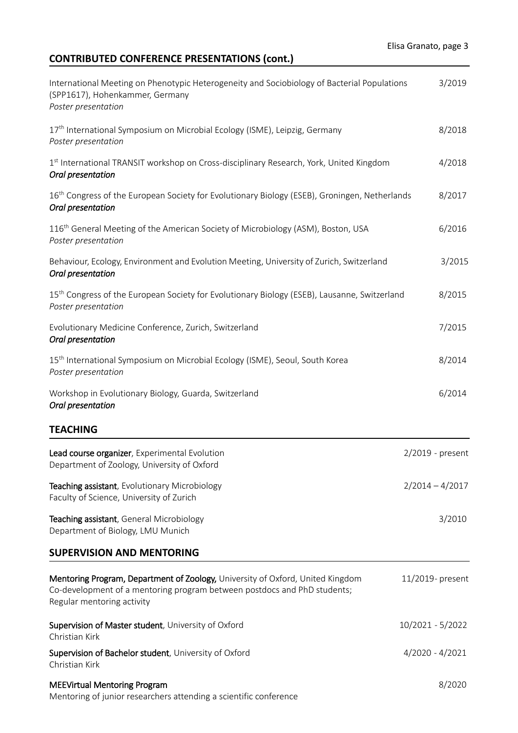# **CONTRIBUTED CONFERENCE PRESENTATIONS (cont.)**

| International Meeting on Phenotypic Heterogeneity and Sociobiology of Bacterial Populations<br>(SPP1617), Hohenkammer, Germany<br>Poster presentation                                    | 3/2019              |
|------------------------------------------------------------------------------------------------------------------------------------------------------------------------------------------|---------------------|
| 17 <sup>th</sup> International Symposium on Microbial Ecology (ISME), Leipzig, Germany<br>Poster presentation                                                                            | 8/2018              |
| 1 <sup>st</sup> International TRANSIT workshop on Cross-disciplinary Research, York, United Kingdom<br>Oral presentation                                                                 | 4/2018              |
| 16 <sup>th</sup> Congress of the European Society for Evolutionary Biology (ESEB), Groningen, Netherlands<br>Oral presentation                                                           | 8/2017              |
| 116 <sup>th</sup> General Meeting of the American Society of Microbiology (ASM), Boston, USA<br>Poster presentation                                                                      | 6/2016              |
| Behaviour, Ecology, Environment and Evolution Meeting, University of Zurich, Switzerland<br>Oral presentation                                                                            | 3/2015              |
| 15 <sup>th</sup> Congress of the European Society for Evolutionary Biology (ESEB), Lausanne, Switzerland<br>Poster presentation                                                          | 8/2015              |
| Evolutionary Medicine Conference, Zurich, Switzerland<br>Oral presentation                                                                                                               | 7/2015              |
| 15 <sup>th</sup> International Symposium on Microbial Ecology (ISME), Seoul, South Korea<br>Poster presentation                                                                          | 8/2014              |
| Workshop in Evolutionary Biology, Guarda, Switzerland<br>Oral presentation                                                                                                               | 6/2014              |
| <b>TEACHING</b>                                                                                                                                                                          |                     |
| Lead course organizer, Experimental Evolution<br>Department of Zoology, University of Oxford                                                                                             | 2/2019 - present    |
| Teaching assistant, Evolutionary Microbiology<br>Faculty of Science, University of Zurich                                                                                                | $2/2014 - 4/2017$   |
| Teaching assistant, General Microbiology<br>Department of Biology, LMU Munich                                                                                                            | 3/2010              |
| <b>SUPERVISION AND MENTORING</b>                                                                                                                                                         |                     |
| Mentoring Program, Department of Zoology, University of Oxford, United Kingdom<br>Co-development of a mentoring program between postdocs and PhD students;<br>Regular mentoring activity | $11/2019$ - present |
| Supervision of Master student, University of Oxford<br>Christian Kirk                                                                                                                    | 10/2021 - 5/2022    |
| Supervision of Bachelor student, University of Oxford<br>Christian Kirk                                                                                                                  | $4/2020 - 4/2021$   |
| <b>MEEVirtual Mentoring Program</b><br>Mentoring of junior researchers attending a scientific conference                                                                                 | 8/2020              |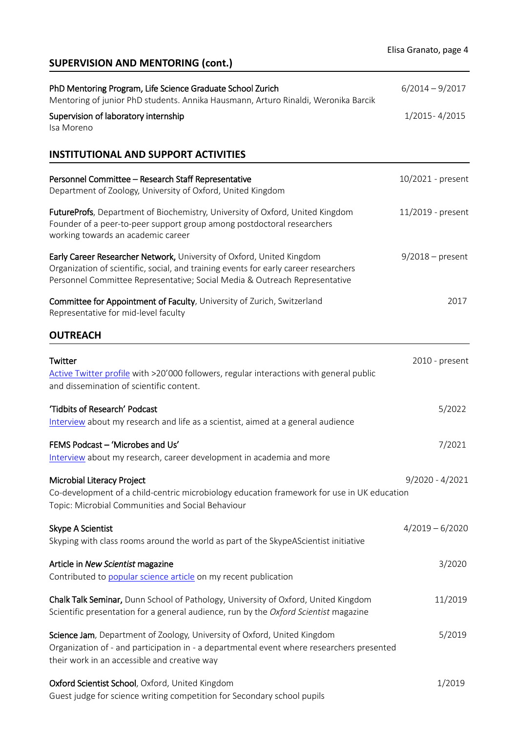# **SUPERVISION AND MENTORING (cont.)**

| PhD Mentoring Program, Life Science Graduate School Zurich<br>Mentoring of junior PhD students. Annika Hausmann, Arturo Rinaldi, Weronika Barcik                                                                                            | $6/2014 - 9/2017$  |
|---------------------------------------------------------------------------------------------------------------------------------------------------------------------------------------------------------------------------------------------|--------------------|
| Supervision of laboratory internship<br>Isa Moreno                                                                                                                                                                                          | 1/2015 - 4/2015    |
| <b>INSTITUTIONAL AND SUPPORT ACTIVITIES</b>                                                                                                                                                                                                 |                    |
| Personnel Committee - Research Staff Representative<br>Department of Zoology, University of Oxford, United Kingdom                                                                                                                          | 10/2021 - present  |
| FutureProfs, Department of Biochemistry, University of Oxford, United Kingdom<br>Founder of a peer-to-peer support group among postdoctoral researchers<br>working towards an academic career                                               | 11/2019 - present  |
| Early Career Researcher Network, University of Oxford, United Kingdom<br>Organization of scientific, social, and training events for early career researchers<br>Personnel Committee Representative; Social Media & Outreach Representative | $9/2018$ – present |
| Committee for Appointment of Faculty, University of Zurich, Switzerland<br>Representative for mid-level faculty                                                                                                                             | 2017               |
| <b>OUTREACH</b>                                                                                                                                                                                                                             |                    |
| Twitter<br>Active Twitter profile with >20'000 followers, regular interactions with general public<br>and dissemination of scientific content.                                                                                              | 2010 - present     |
| 'Tidbits of Research' Podcast<br>Interview about my research and life as a scientist, aimed at a general audience                                                                                                                           | 5/2022             |
| FEMS Podcast - 'Microbes and Us'<br>Interview about my research, career development in academia and more                                                                                                                                    | 7/2021             |
| Microbial Literacy Project<br>Co-development of a child-centric microbiology education framework for use in UK education<br>Topic: Microbial Communities and Social Behaviour                                                               | $9/2020 - 4/2021$  |
| Skype A Scientist<br>Skyping with class rooms around the world as part of the SkypeAScientist initiative                                                                                                                                    | $4/2019 - 6/2020$  |
| Article in New Scientist magazine<br>Contributed to popular science article on my recent publication                                                                                                                                        | 3/2020             |
| Chalk Talk Seminar, Dunn School of Pathology, University of Oxford, United Kingdom<br>Scientific presentation for a general audience, run by the Oxford Scientist magazine                                                                  | 11/2019            |
| Science Jam, Department of Zoology, University of Oxford, United Kingdom<br>Organization of - and participation in - a departmental event where researchers presented<br>their work in an accessible and creative way                       | 5/2019             |
| Oxford Scientist School, Oxford, United Kingdom                                                                                                                                                                                             | 1/2019             |

Guest judge for science writing competition for Secondary school pupils